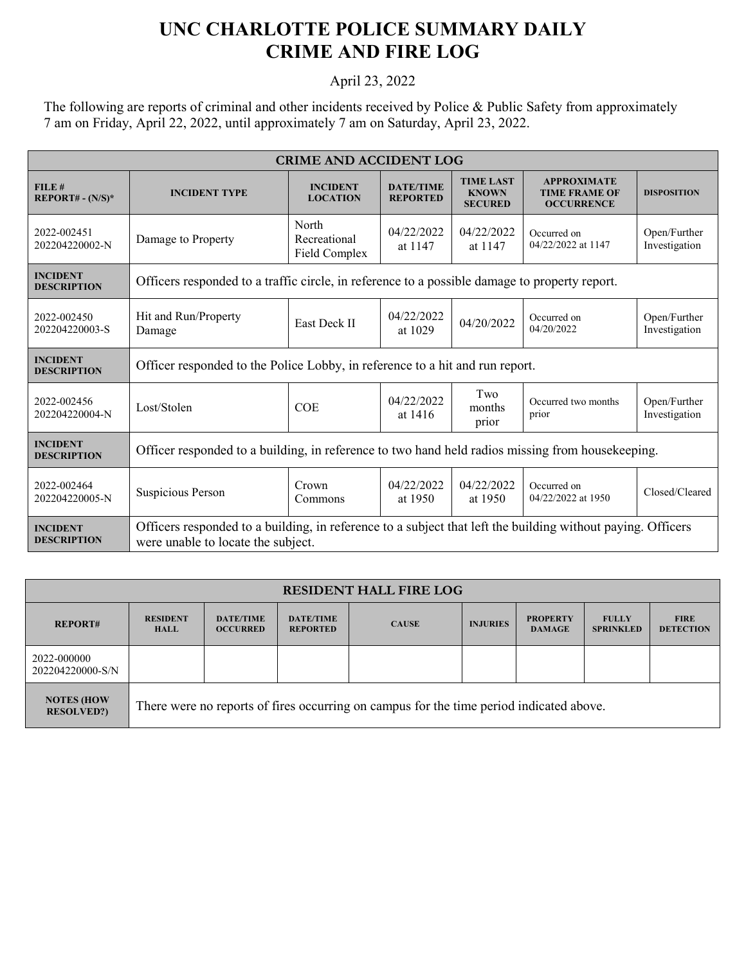## **UNC CHARLOTTE POLICE SUMMARY DAILY CRIME AND FIRE LOG**

## April 23, 2022

The following are reports of criminal and other incidents received by Police & Public Safety from approximately 7 am on Friday, April 22, 2022, until approximately 7 am on Saturday, April 23, 2022.

| <b>CRIME AND ACCIDENT LOG</b>         |                                                                                                                                                   |                                        |                                     |                                                    |                                                                 |                               |  |
|---------------------------------------|---------------------------------------------------------------------------------------------------------------------------------------------------|----------------------------------------|-------------------------------------|----------------------------------------------------|-----------------------------------------------------------------|-------------------------------|--|
| FILE#<br>$REPORT# - (N/S)*$           | <b>INCIDENT TYPE</b>                                                                                                                              | <b>INCIDENT</b><br><b>LOCATION</b>     | <b>DATE/TIME</b><br><b>REPORTED</b> | <b>TIME LAST</b><br><b>KNOWN</b><br><b>SECURED</b> | <b>APPROXIMATE</b><br><b>TIME FRAME OF</b><br><b>OCCURRENCE</b> | <b>DISPOSITION</b>            |  |
| 2022-002451<br>202204220002-N         | Damage to Property                                                                                                                                | North<br>Recreational<br>Field Complex | 04/22/2022<br>at 1147               | 04/22/2022<br>at 1147                              | Occurred on<br>04/22/2022 at 1147                               | Open/Further<br>Investigation |  |
| <b>INCIDENT</b><br><b>DESCRIPTION</b> | Officers responded to a traffic circle, in reference to a possible damage to property report.                                                     |                                        |                                     |                                                    |                                                                 |                               |  |
| 2022-002450<br>202204220003-S         | Hit and Run/Property<br>Damage                                                                                                                    | <b>East Deck II</b>                    | 04/22/2022<br>at 1029               | 04/20/2022                                         | Occurred on<br>04/20/2022                                       | Open/Further<br>Investigation |  |
| <b>INCIDENT</b><br><b>DESCRIPTION</b> | Officer responded to the Police Lobby, in reference to a hit and run report.                                                                      |                                        |                                     |                                                    |                                                                 |                               |  |
| 2022-002456<br>202204220004-N         | Lost/Stolen                                                                                                                                       | <b>COE</b>                             | 04/22/2022<br>at 1416               | Two<br>months<br>prior                             | Occurred two months<br>prior                                    | Open/Further<br>Investigation |  |
| <b>INCIDENT</b><br><b>DESCRIPTION</b> | Officer responded to a building, in reference to two hand held radios missing from housekeeping.                                                  |                                        |                                     |                                                    |                                                                 |                               |  |
| 2022-002464<br>202204220005-N         | Suspicious Person                                                                                                                                 | Crown<br>Commons                       | 04/22/2022<br>at 1950               | 04/22/2022<br>at 1950                              | Occurred on<br>04/22/2022 at 1950                               | Closed/Cleared                |  |
| <b>INCIDENT</b><br><b>DESCRIPTION</b> | Officers responded to a building, in reference to a subject that left the building without paying. Officers<br>were unable to locate the subject. |                                        |                                     |                                                    |                                                                 |                               |  |

| <b>RESIDENT HALL FIRE LOG</b>          |                                                                                         |                                     |                                     |              |                 |                                  |                                  |                                 |  |
|----------------------------------------|-----------------------------------------------------------------------------------------|-------------------------------------|-------------------------------------|--------------|-----------------|----------------------------------|----------------------------------|---------------------------------|--|
| <b>REPORT#</b>                         | <b>RESIDENT</b><br><b>HALL</b>                                                          | <b>DATE/TIME</b><br><b>OCCURRED</b> | <b>DATE/TIME</b><br><b>REPORTED</b> | <b>CAUSE</b> | <b>INJURIES</b> | <b>PROPERTY</b><br><b>DAMAGE</b> | <b>FULLY</b><br><b>SPRINKLED</b> | <b>FIRE</b><br><b>DETECTION</b> |  |
| 2022-000000<br>202204220000-S/N        |                                                                                         |                                     |                                     |              |                 |                                  |                                  |                                 |  |
| <b>NOTES (HOW</b><br><b>RESOLVED?)</b> | There were no reports of fires occurring on campus for the time period indicated above. |                                     |                                     |              |                 |                                  |                                  |                                 |  |